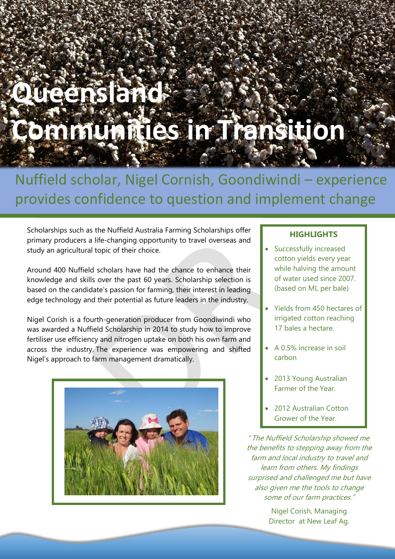# **Queensland Communities in Transition**

# Nuffield scholar, Nigel Cornish, Goondiwindi – experience provides confidence to question and implement change

Scholarships such as the Nuffield Australia Farming Scholarships offer primary producers a life-changing opportunity to travel overseas and study an agricultural topic of their choice.

Around 400 Nuffield scholars have had the chance to enhance their knowledge and skills over the past 60 years. Scholarship selection is based on the candidate's passion for farming, their interest in leading edge technology and their potential as future leaders in the industry.

Nigel Corish is a fourth-generation producer from Goondiwindi who was awarded a Nuffield Scholarship in 2014 to study how to improve fertiliser use efficiency and nitrogen uptake on both his own farm and across the industry. The experience was empowering and shifted Nigel's approach to farm management dramatically.



### **HIGHLIGHTS**

- Successfully increased cotton yields every year while halving the amount of water used since 2007. (based on ML per bale)
- Yields from 450 hectares of irrigated cotton reaching 17 bales a hectare.
- A 0.5% increase in soil carbon
- 2013 Young Australian Farmer of the Year.
- 2012 Australian Cotton Grower of the Year.

"The Nuffield Scholarship showed me the benefits to stepping away from the farm and local industry to travel and learn from others. My findings surprised and challenged me but have also given me the tools to change some of our farm practices."

> Nigel Corish, Managing Director at New Leaf Ag.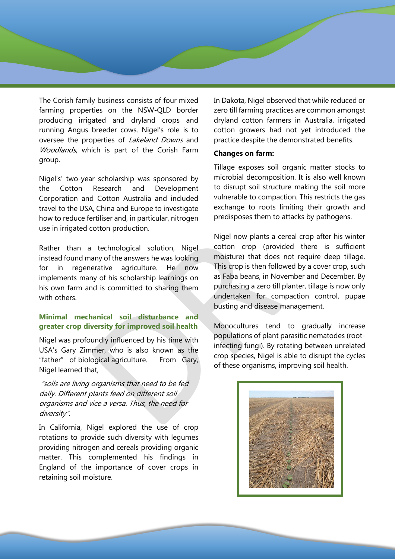The Corish family business consists of four mixed farming properties on the NSW-QLD border producing irrigated and dryland crops and running Angus breeder cows. Nigel's role is to oversee the properties of Lakeland Downs and Woodlands, which is part of the Corish Farm group.

Nigel's' two-year scholarship was sponsored by the Cotton Research and Development Corporation and Cotton Australia and included travel to the USA, China and Europe to investigate how to reduce fertiliser and, in particular, nitrogen use in irrigated cotton production.

Rather than a technological solution, Nigel instead found many of the answers he was looking for in regenerative agriculture. He now implements many of his scholarship learnings on his own farm and is committed to sharing them with others.

## **Minimal mechanical soil disturbance and greater crop diversity for improved soil health**

Nigel was profoundly influenced by his time with USA's Gary Zimmer, who is also known as the "father" of biological agriculture. From Gary, Nigel learned that,

"soils are living organisms that need to be fed daily. Different plants feed on different soil organisms and vice <sup>a</sup> versa. Thus, the need for diversity".

In California, Nigel explored the use of crop rotations to provide such diversity with legumes providing nitrogen and cereals providing organic matter. This complemented his findings in England of the importance of cover crops in retaining soil moisture.

In Dakota, Nigel observed that while reduced or zero till farming practices are common amongst dryland cotton farmers in Australia, irrigated cotton growers had not yet introduced the practice despite the demonstrated benefits.

#### **Changes on farm:**

Tillage exposes soil organic matter stocks to microbial decomposition. It is also well known to disrupt soil structure making the soil more vulnerable to compaction. This restricts the gas exchange to roots limiting their growth and predisposes them to attacks by pathogens.

Nigel now plants a cereal crop after his winter cotton crop (provided there is sufficient moisture) that does not require deep tillage. This crop is then followed by a cover crop, such as Faba beans, in November and December. By purchasing a zero till planter, tillage is now only undertaken for compaction control, pupae busting and disease management.

Monocultures tend to gradually increase populations of plant parasitic nematodes (rootinfecting fungi). By rotating between unrelated crop species, Nigel is able to disrupt the cycles of these organisms, improving soil health.

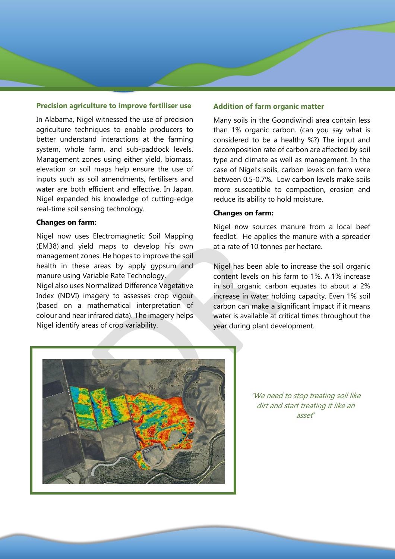#### **Precision agriculture to improve fertiliser use**

In Alabama, Nigel witnessed the use of precision agriculture techniques to enable producers to better understand interactions at the farming system, whole farm, and sub-paddock levels. Management zones using either yield, biomass, elevation or soil maps help ensure the use of inputs such as soil amendments, fertilisers and water are both efficient and effective. In Japan, Nigel expanded his knowledge of cutting-edge real-time soil sensing technology.

#### **Changes on farm:**

Nigel now uses Electromagnetic Soil Mapping (EM38) and yield maps to develop his own management zones. He hopes to improve the soil health in these areas by apply gypsum and manure using Variable Rate Technology.

Nigel also uses Normalized Difference Vegetative Index (NDVI) imagery to assesses crop vigour (based on a mathematical interpretation of colour and near infrared data). The imagery helps Nigel identify areas of crop variability.

#### **Addition of farm organic matter**

Many soils in the Goondiwindi area contain less than 1% organic carbon. (can you say what is considered to be a healthy %?) The input and decomposition rate of carbon are affected by soil type and climate as well as management. In the case of Nigel's soils, carbon levels on farm were between 0.5-0.7%. Low carbon levels make soils more susceptible to compaction, erosion and reduce its ability to hold moisture.

#### **Changes on farm:**

Nigel now sources manure from a local beef feedlot. He applies the manure with a spreader at a rate of 10 tonnes per hectare.

Nigel has been able to increase the soil organic content levels on his farm to 1%. A 1% increase in soil organic carbon equates to about a 2% increase in water holding capacity. Even 1% soil carbon can make a significant impact if it means water is available at critical times throughout the year during plant development.



"We need to stop treating soil like dirt and start treating it like an asset"